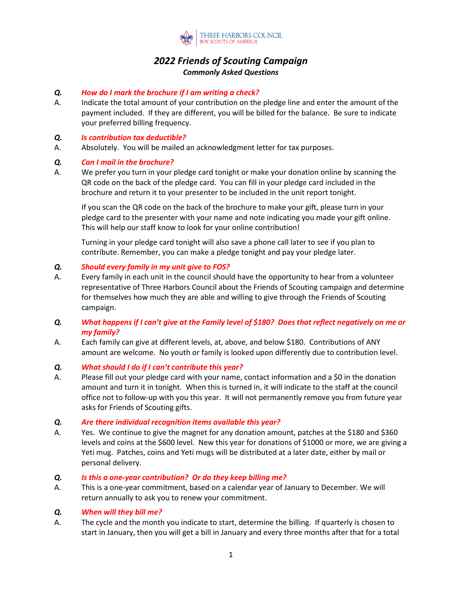

# *2022 Friends of Scouting Campaign Commonly Asked Questions*

# *Q. How do I mark the brochure if I am writing a check?*

A. Indicate the total amount of your contribution on the pledge line and enter the amount of the payment included. If they are different, you will be billed for the balance. Be sure to indicate your preferred billing frequency.

#### *Q. Is contribution tax deductible?*

A. Absolutely. You will be mailed an acknowledgment letter for tax purposes.

### *Q. Can I mail in the brochure?*

A. We prefer you turn in your pledge card tonight or make your donation online by scanning the QR code on the back of the pledge card. You can fill in your pledge card included in the brochure and return it to your presenter to be included in the unit report tonight.

If you scan the QR code on the back of the brochure to make your gift, please turn in your pledge card to the presenter with your name and note indicating you made your gift online. This will help our staff know to look for your online contribution!

Turning in your pledge card tonight will also save a phone call later to see if you plan to contribute. Remember, you can make a pledge tonight and pay your pledge later.

### *Q. Should every family in my unit give to FOS?*

- A. Every family in each unit in the council should have the opportunity to hear from a volunteer representative of Three Harbors Council about the Friends of Scouting campaign and determine for themselves how much they are able and willing to give through the Friends of Scouting campaign.
- *Q. What happens if I can't give at the Family level of \$180? Does that reflect negatively on me or my family?*
- A. Each family can give at different levels, at, above, and below \$180. Contributions of ANY amount are welcome. No youth or family is looked upon differently due to contribution level.

# *Q. What should I do if I can't contribute this year?*

- A. Please fill out your pledge card with your name, contact information and a \$0 in the donation amount and turn it in tonight. When this is turned in, it will indicate to the staff at the council office not to follow-up with you this year. It will not permanently remove you from future year asks for Friends of Scouting gifts.
- *Q. Are there individual recognition items available this year?*
- A. Yes. We continue to give the magnet for any donation amount, patches at the \$180 and \$360 levels and coins at the \$600 level. New this year for donations of \$1000 or more, we are giving a Yeti mug. Patches, coins and Yeti mugs will be distributed at a later date, either by mail or personal delivery.

#### *Q. Is this a one-year contribution? Or do they keep billing me?*

A. This is a one-year commitment, based on a calendar year of January to December. We will return annually to ask you to renew your commitment.

# *Q. When will they bill me?*

A. The cycle and the month you indicate to start, determine the billing. If quarterly is chosen to start in January, then you will get a bill in January and every three months after that for a total